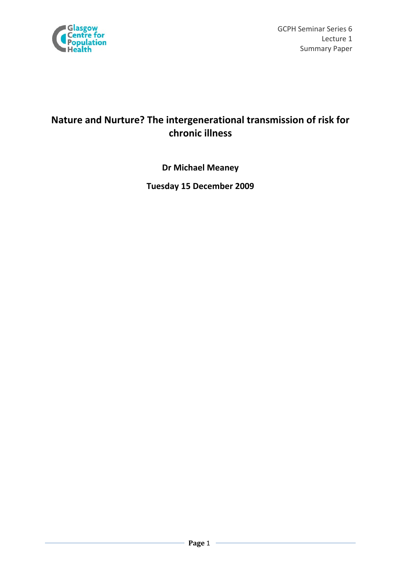

Glasgow<br>
GCPH Seminar Series 6<br>
Centre for Lecture 1 Summary Paper

# **Nature and Nurture? The intergenerational transmission of risk for chronic illness**

**Dr Michael Meaney** 

**Tuesday 15 December 2009**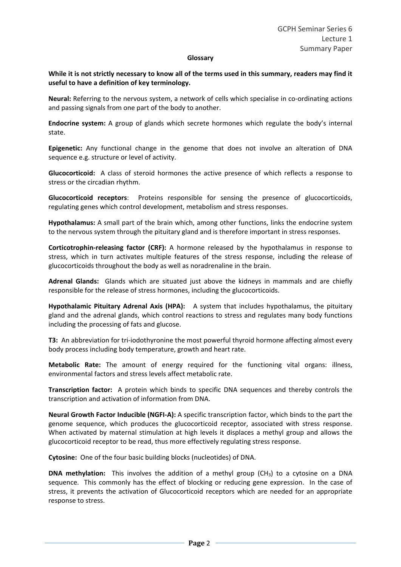#### **Glossary**

While it is not strictly necessary to know all of the terms used in this summary, readers may find it **useful to have a definition of key terminology.**

**Neural:** Referring to the nervous system, a network of cells which specialise in co-ordinating actions and passing signals from one part of the body to another.

**Endocrine system:** A group of glands which secrete hormones which regulate the body's internal state.

**Epigenetic:** Any functional change in the genome that does not involve an alteration of DNA sequence e.g. structure or level of activity.

**Glucocorticoid:**  A class of steroid hormones the active presence of which reflects a response to stress or the circadian rhythm.

**Glucocorticoid receptors**: Proteins responsible for sensing the presence of glucocorticoids, regulating genes which control development, metabolism and stress responses.

**Hypothalamus:** A small part of the brain which, among other functions, links the endocrine system to the nervous system through the pituitary gland and is therefore important in stress responses.

**Corticotrophin‐releasing factor (CRF):** A hormone released by the hypothalamus in response to stress, which in turn activates multiple features of the stress response, including the release of glucocorticoids throughout the body as well as noradrenaline in the brain.

**Adrenal Glands:** Glands which are situated just above the kidneys in mammals and are chiefly responsible for the release of stress hormones, including the glucocorticoids.

**Hypothalamic Pituitary Adrenal Axis (HPA):** A system that includes hypothalamus, the pituitary gland and the adrenal glands, which control reactions to stress and regulates many body functions including the processing of fats and glucose.

**T3:** An abbreviation for tri-iodothyronine the most powerful thyroid hormone affecting almost every body process including body temperature, growth and heart rate.

**Metabolic Rate:** The amount of energy required for the functioning vital organs: illness, environmental factors and stress levels affect metabolic rate.

**Transcription factor:**  A protein which binds to specific DNA sequences and thereby controls the transcription and activation of information from DNA.

**Neural Growth Factor Inducible (NGFI‐A):** A specific transcription factor, which binds to the part the genome sequence, which produces the glucocorticoid receptor, associated with stress response. When activated by maternal stimulation at high levels it displaces a methyl group and allows the glucocorticoid receptor to be read, thus more effectively regulating stress response.

**Cytosine:** One of the four basic building blocks (nucleotides) of DNA.

**DNA** methylation: This involves the addition of a methyl group (CH<sub>3</sub>) to a cytosine on a DNA sequence. This commonly has the effect of blocking or reducing gene expression. In the case of stress, it prevents the activation of Glucocorticoid receptors which are needed for an appropriate response to stress.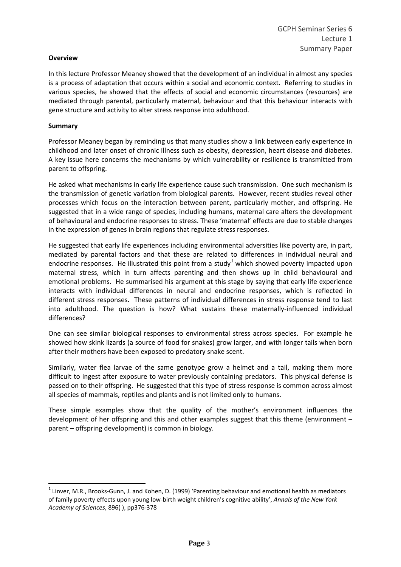### **Overview**

In this lecture Professor Meaney showed that the development of an individual in almost any species is a process of adaptation that occurs within a social and economic context. Referring to studies in various species, he showed that the effects of social and economic circumstances (resources) are mediated through parental, particularly maternal, behaviour and that this behaviour interacts with gene structure and activity to alter stress response into adulthood.

# **Summary**

Professor Meaney began by reminding us that many studies show a link between early experience in childhood and later onset of chronic illness such as obesity, depression, heart disease and diabetes. A key issue here concerns the mechanisms by which vulnerability or resilience is transmitted from parent to offspring.

He asked what mechanisms in early life experience cause such transmission. One such mechanism is the transmission of genetic variation from biological parents. However, recent studies reveal other processes which focus on the interaction between parent, particularly mother, and offspring. He suggested that in a wide range of species, including humans, maternal care alters the development of behavioural and endocrine responses to stress. These 'maternal' effects are due to stable changes in the expression of genes in brain regions that regulate stress responses.

He suggested that early life experiences including environmental adversities like poverty are, in part, mediated by parental factors and that these are related to differences in individual neural and endocrine responses. He illustrated this point from a study<sup>[1](#page-2-0)</sup> which showed poverty impacted upon maternal stress, which in turn affects parenting and then shows up in child behavioural and emotional problems. He summarised his argument at this stage by saying that early life experience interacts with individual differences in neural and endocrine responses, which is reflected in different stress responses. These patterns of individual differences in stress response tend to last into adulthood. The question is how? What sustains these maternally-influenced individual differences?

One can see similar biological responses to environmental stress across species. For example he showed how skink lizards (a source of food for snakes) grow larger, and with longer tails when born after their mothers have been exposed to predatory snake scent.

Similarly, water flea larvae of the same genotype grow a helmet and a tail, making them more difficult to ingest after exposure to water previously containing predators. This physical defense is passed on to their offspring. He suggested that this type of stress response is common across almost all species of mammals, reptiles and plants and is not limited only to humans.

These simple examples show that the quality of the mother's environment influences the development of her offspring and this and other examples suggest that this theme (environment – parent – offspring development) is common in biology.

<span id="page-2-0"></span> $1$  Linver, M.R., Brooks-Gunn, J. and Kohen, D. (1999) 'Parenting behaviour and emotional health as mediators of family poverty effects upon young low‐birth weight children's cognitive ability', *Annals of the New York Academy of Sciences*, 896( ), pp376‐378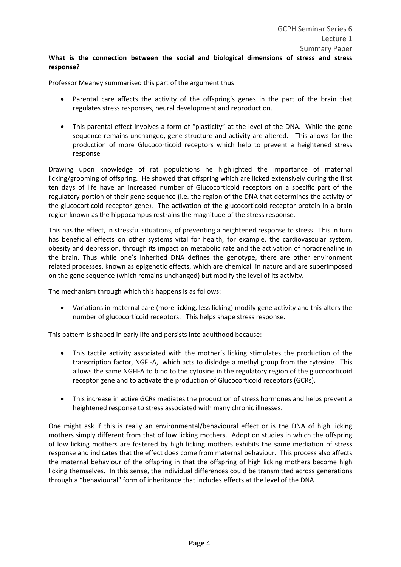# **What is the connection between the social and biological dimensions of stress and stress response?**

Professor Meaney summarised this part of the argument thus:

- Parental care affects the activity of the offspring's genes in the part of the brain that regulates stress responses, neural development and reproduction.
- This parental effect involves a form of "plasticity" at the level of the DNA. While the gene sequence remains unchanged, gene structure and activity are altered. This allows for the production of more Glucocorticoid receptors which help to prevent a heightened stress response

Drawing upon knowledge of rat populations he highlighted the importance of maternal licking/grooming of offspring. He showed that offspring which are licked extensively during the first ten days of life have an increased number of Glucocorticoid receptors on a specific part of the regulatory portion of their gene sequence (i.e. the region of the DNA that determines the activity of the glucocorticoid receptor gene). The activation of the glucocorticoid receptor protein in a brain region known as the hippocampus restrains the magnitude of the stress response.

This has the effect, in stressful situations, of preventing a heightened response to stress. This in turn has beneficial effects on other systems vital for health, for example, the cardiovascular system, obesity and depression, through its impact on metabolic rate and the activation of noradrenaline in the brain. Thus while one's inherited DNA defines the genotype, there are other environment related processes, known as epigenetic effects, which are chemical in nature and are superimposed on the gene sequence (which remains unchanged) but modify the level of its activity.

The mechanism through which this happens is as follows:

 Variations in maternal care (more licking, less licking) modify gene activity and this alters the number of glucocorticoid receptors. This helps shape stress response.

This pattern is shaped in early life and persists into adulthood because:

- This tactile activity associated with the mother's licking stimulates the production of the transcription factor, NGFI‐A, which acts to dislodge a methyl group from the cytosine. This allows the same NGFI‐A to bind to the cytosine in the regulatory region of the glucocorticoid receptor gene and to activate the production of Glucocorticoid receptors (GCRs).
- This increase in active GCRs mediates the production of stress hormones and helps prevent a heightened response to stress associated with many chronic illnesses.

One might ask if this is really an environmental/behavioural effect or is the DNA of high licking mothers simply different from that of low licking mothers. Adoption studies in which the offspring of low licking mothers are fostered by high licking mothers exhibits the same mediation of stress response and indicates that the effect does come from maternal behaviour. This process also affects the maternal behaviour of the offspring in that the offspring of high licking mothers become high licking themselves. In this sense, the individual differences could be transmitted across generations through a "behavioural" form of inheritance that includes effects at the level of the DNA.